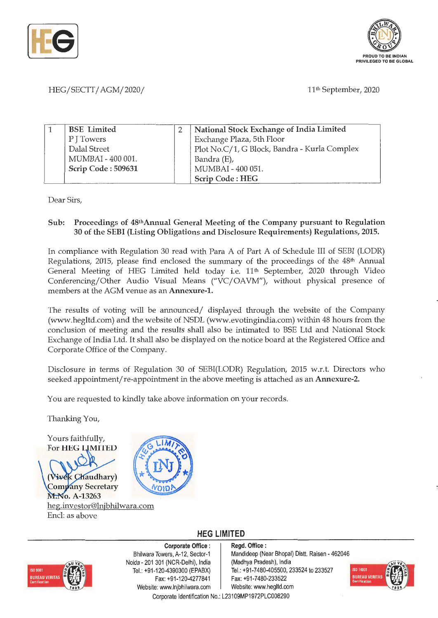



### HEG/SECTT/AGM/2020/ 11th September, 2020

| <b>BSE</b> Limited | National Stock Exchange of India Limited     |
|--------------------|----------------------------------------------|
| P J Towers         | Exchange Plaza, 5th Floor                    |
| Dalal Street       | Plot No.C/1, G Block, Bandra - Kurla Complex |
| MUMBAI - 400 001.  | Bandra (E),                                  |
| Scrip Code: 509631 | MUMBAI - 400 051.                            |
|                    | Scrip Code: HEG                              |

Dear Sirs,

#### **Sub: Proceedings of 48thAnnual General Meeting of the Company pursuant to Regulation 30 of the SEBI (Listing Obligations and Disclosure Requirements) Regulations, 2015.**

In compliance with Regulation 30 read with Para A of Part A of Schedule III of SEBI (LODR) Regulations, 2015, please find enclosed the summary of the proceedings of the 48<sup>th</sup> Annual General Meeting of HEG Limited held today i.e. 11<sup>th</sup> September, 2020 through Video Conferencing/Other Audio Visual Means ("VC/ OAVM"), without physical presence of members at the AGM venue as an **Annexure-1.** 

The results of voting will be announced/ displayed through the website of the Company (www.hegltd.com) and the website of NSDL (www.evotingindia.com) within 48 hours from the conclusion of meeting and the results shall also be intimated to BSE Ltd and National Stock Exchange of India Ltd. It shall also be displayed on the notice board at the Registered Office and Corporate Office of the Company.

Disclosure in terms of Regulation 30 of SEBI(LODR) Regulation, 2015 w.r.t. Directors who seeked appointment/ re-appointment in the above meeting is attached as an **Annexure-2.** 

You are requested to kindly take above information on your records.

Thanking You,

Yours faithfully, For **HEG LIMITED** 





**HEG LIMITED** 



**Corporate Office** : Bhilwara Towers, A-12, Sector-1 Noida - 201 301 (NCR-Delhi), India Tel. : +91-120-4390300 (EPABX) Fax: +91-120-4277841 Website: www.lnjbhilwara.com | Website: www.hegltd.com

**Regd. Office** : Mandideep (Near Bhopal) Distt. Raisen - 462046 (Madhya Pradesh), India Tel.: +91-7480-405500, 233524 to 233527 Fax: +91-7480-233522

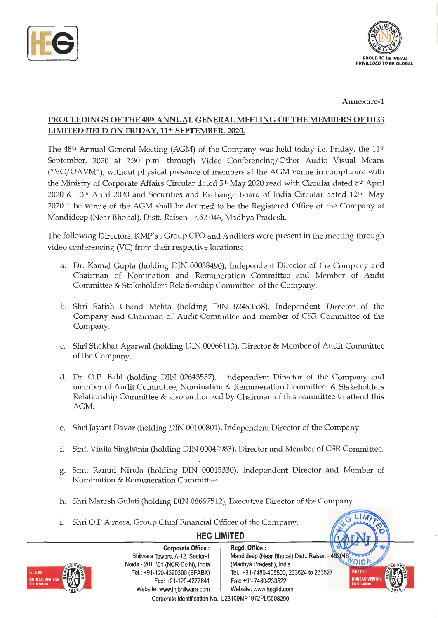



**Annexure-1** 

## **PROCEEDINGS OF THE 48th ANNUAL GENERAL MEETING OF THE MEMBERS OF HEG**  LIMITED HELD ON FRIDAY, 11<sup>th</sup> SEPTEMBER, 2020.

The 48<sup>th</sup> Annual General Meeting (AGM) of the Company was held today i.e. Friday, the 11<sup>th</sup> September, 2020 at 2:30 p.m. through Video Conferencing/Other Audio Visual Means ("VC/OAVM"), without physical presence of members at the AGM venue in compliance with the Ministry of Corporate Affairs Circular dated 5<sup>th</sup> May 2020 read with Circular dated 8<sup>th</sup> April 2020 & 13th April 2020 and Securities and Exchange Board of India Circular dated 12th May 2020. The venue of the AGM shall be deemed to be the Registered Office of the Company at Mandideep (Near Bhopal), Distt. Raisen - 462 046, Madhya Pradesh.

The following Directors, KMP's, Group CFO and Auditors were present in the meeting through video conferencing (VC) from their respective locations:

- a. Dr. Kamal Gupta (holding DIN 00038490), Independent Director of the Company and Chairman of Nomination and Remuneration Committee and Member of Audit Committee & Stakeholders Relationship Committee of the Company.
- b. Shri Satish Chand Mehta (holding DIN 02460558), Independent Director of the Company and Chairman of Audit Committee and member of CSR Committee of the Company.
- c. Shri Shekhar Agarwal (holding DIN 00066113), Director & Member of Audit Committee of the Company.
- d. Dr. O.P. Bahl (holding DIN 02643557), Independent Director of the Company and member of Audit Committee, Nomination & Remuneration Committee & Stakeholders Relationship Committee & also authorized by Chairman of this committee to attend this AGM.
- e. Shri Jayant Davar (holding DIN 00100801), Independent Director of the Company.
- f. Smt. Vinita Singhania (holding DIN 00042983), Director and Member of CSR Committee.
- g. Smt. Ramni Nirula (holding DIN 00015330), Independent Director and Member of Nomination & Remuneration Committee.

**HEG LIMITED** 

- h. Shri Manish Gulati (holding DIN 08697512), Executive Director of the Company.
- i. Shri O.P Ajmera, Group Chief Financial Officer of the Company.



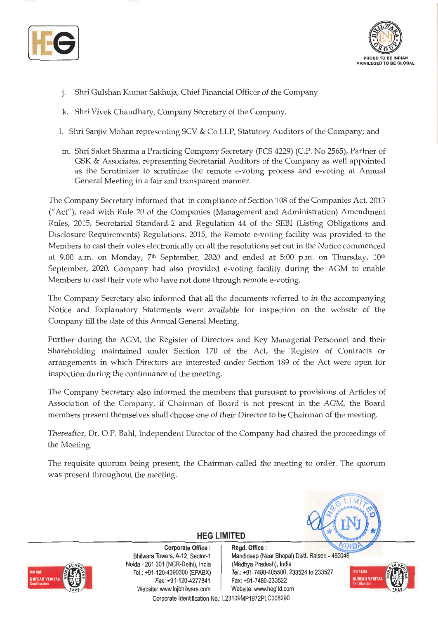



- j. Shri Gulshan Kumar Sakhuja, Chief Financial Officer of the Company
- k. Shri Vivek Chaudhary, Company Secretary of the Company.
- I. Shri Sanjiv Mohan representing SCV & Co LLP, Statutory Auditors of the Company; and
- m. Shri Saket Sharma a Practicing Company Secretary (FCS 4229) (C.P. No 2565), Partner of GSK & Associates, representing Secretarial Auditors of the Company as well appointed as the Scrutinizer to scrutinize the remote e-voting process and e-voting at Annual General Meeting in a fair and transparent manner.

The Company Secretary informed that in compliance of Section 108 of the Companies Act, 2013 (" Act"), read with Rule 20 of the Companies (Management and Administration) Amendment Rules, 2015, Secretarial Standard-2 and Regulation 44 of the SEBI (Listing Obligations and Disclosure Requirements) Regulations, 2015, the Remote e-voting facility was provided to the Members to cast their votes electronically on all the resolutions set out in the Notice commenced at 9.00 a.m. on Monday,  $7<sup>th</sup>$  September, 2020 and ended at 5:00 p.m. on Thursday,  $10<sup>th</sup>$ September, 2020. Company had also provided e-voting facility during the AGM to enable Members to cast their vote who have not done through remote e-voting.

The Company Secretary also informed that all the documents referred to in the accompanying Notice and Explanatory Statements were available for inspection on the website of the Company till the date of this Annual General Meeting.

Further during the AGM, the Register of Directors and Key Managerial Personnel and their Shareholding maintained under Section 170 of the Act, the Register of Contracts or arrangements in which Directors are interested under Section 189 of the Act were open for inspection during the continuance of the meeting.

The Company Secretary also informed the members that pursuant to provisions of Articles of Association of the Company, if Chairman of Board is not present in the AGM, the Board members present themselves shall choose one of their Director to be Chairman of the meeting.

Thereafter, Dr. O.P. Bahl, Independent Director of the Company had chaired the proceedings of the Meeting.

The requisite quorum being present, the Chairman called the meeting to order. The quorum was present throughout the meeting.



**Corporate Office** : Bhilwara Towers, A-12, Sector-1 Noida - 201 301 (NCR-Delhi), India Tel.: +91-120-4390300 (EPABX) Fax: +91-120-4277841 Website: www.lnjbhilwara.com | Website: www.hegltd.com



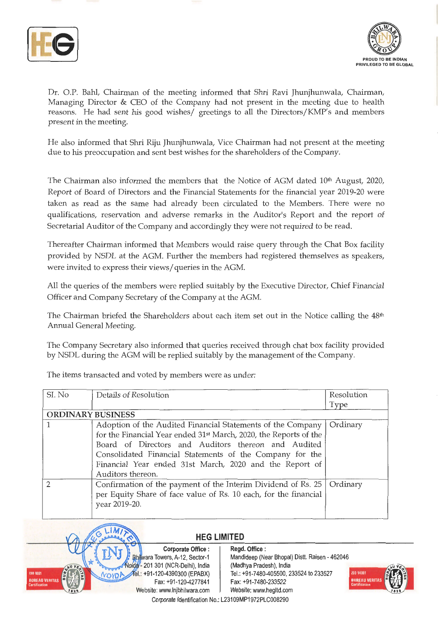



Dr. O.P. Bahl, Chairman of the meeting informed that Shri Ravi Jhunjhunwala, Chairman, Managing Director  $&$  CEO of the Company had not present in the meeting due to health reasons. He had sent his good wishes/ greetings to all the Directors/KMP's and members present in the meeting.

He also informed that Shri Riju Jhunjhunwala, Vice Chairman had not present at the meeting due to his preoccupation and sent best wishes for the shareholders of the Company.

The Chairman also informed the members that the Notice of AGM dated 10<sup>th</sup> August, 2020, Report of Board of Directors and the Financial Statements for the financial year 2019-20 were taken as read as the same had already been circulated to the Members. There were no qualifications, reservation and adverse remarks in the Auditor's Report and the report of Secretarial Auditor of the Company and accordingly they were not required to be read.

Thereafter Chairman informed that Members would raise query through the Chat Box facility provided by NSDL at the AGM. Further the members had registered themselves as speakers, were invited to express their views/ queries in the AGM.

All the queries of the members were replied suitably by the Executive Director, Chief Financial Officer and Company Secretary of the Company at the AGM.

The Chairman briefed the Shareholders about each item set out in the Notice calling the  $48<sup>th</sup>$ Annual General Meeting.

The Company Secretary also informed that queries received through chat box facility provided by NSDL during the AGM will be replied suitably by the management of the Company.

| SI. No                   | Details of Resolution                                             | Resolution |
|--------------------------|-------------------------------------------------------------------|------------|
|                          |                                                                   | Type       |
| <b>ORDINARY BUSINESS</b> |                                                                   |            |
|                          | Adoption of the Audited Financial Statements of the Company       | Ordinary   |
|                          | for the Financial Year ended 31st March, 2020, the Reports of the |            |
|                          | Board of Directors and Auditors thereon and Audited               |            |
|                          | Consolidated Financial Statements of the Company for the          |            |
|                          | Financial Year ended 31st March, 2020 and the Report of           |            |
|                          | Auditors thereon.                                                 |            |
| $\mathcal{D}$            | Confirmation of the payment of the Interim Dividend of Rs. 25     | Ordinary   |
|                          | per Equity Share of face value of Rs. 10 each, for the financial  |            |
|                          | year 2019-20.                                                     |            |
|                          |                                                                   |            |

The items transacted and voted by members were as under:



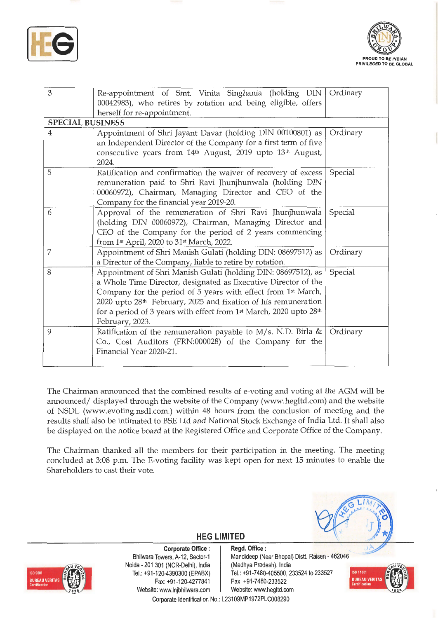



| 3                       | Re-appointment of Smt. Vinita Singhania (holding DIN  <br>00042983), who retires by rotation and being eligible, offers<br>herself for re-appointment.                                                                                                                                                                                                                                          | Ordinary |
|-------------------------|-------------------------------------------------------------------------------------------------------------------------------------------------------------------------------------------------------------------------------------------------------------------------------------------------------------------------------------------------------------------------------------------------|----------|
| <b>SPECIAL BUSINESS</b> |                                                                                                                                                                                                                                                                                                                                                                                                 |          |
| $\overline{4}$          | Appointment of Shri Jayant Davar (holding DIN 00100801) as<br>an Independent Director of the Company for a first term of five<br>consecutive years from 14 <sup>th</sup> August, 2019 upto 13 <sup>th</sup> August,<br>2024.                                                                                                                                                                    | Ordinary |
| 5                       | Ratification and confirmation the waiver of recovery of excess<br>remuneration paid to Shri Ravi Jhunjhunwala (holding DIN<br>00060972), Chairman, Managing Director and CEO of the<br>Company for the financial year 2019-20.                                                                                                                                                                  | Special  |
| 6                       | Approval of the remuneration of Shri Ravi Jhunjhunwala<br>(holding DIN 00060972), Chairman, Managing Director and<br>CEO of the Company for the period of 2 years commencing<br>from 1 <sup>st</sup> April, 2020 to 31 <sup>st</sup> March, 2022.                                                                                                                                               | Special  |
| 7                       | Appointment of Shri Manish Gulati (holding DIN: 08697512) as<br>a Director of the Company, liable to retire by rotation.                                                                                                                                                                                                                                                                        | Ordinary |
| 8                       | Appointment of Shri Manish Gulati (holding DIN: 08697512), as<br>a Whole Time Director, designated as Executive Director of the<br>Company for the period of 5 years with effect from 1st March,<br>2020 upto 28 <sup>th</sup> February, 2025 and fixation of his remuneration<br>for a period of 3 years with effect from 1 <sup>st</sup> March, 2020 upto 28 <sup>th</sup><br>February, 2023. | Special  |
| 9                       | Ratification of the remuneration payable to $M/s$ . N.D. Birla &<br>Co., Cost Auditors (FRN:000028) of the Company for the<br>Financial Year 2020-21.                                                                                                                                                                                                                                           | Ordinary |

The Chairman announced that the combined results of e-voting and voting at the AGM will be announced/ displayed through the website of the Company (www.hegltd.com) and the website of NSDL (www.evoting.nsdl.com.) within 48 hours from the conclusion of meeting and the results shall also be intimated to BSE Ltd and National Stock Exchange of India Ltd. It shall also be displayed on the notice board at the Registered Office and Corporate Office of the Company.

The Chairman thanked all the members for their participation in the meeting. The meeting concluded at 3:08 p.m. The E-voting facility was kept open for next 15 minutes to enable the Shareholders to cast their vote.



**Corporate Office** : Bhilwara Towers, A-12, Sector-1 Noida - 201 301 (NCR-Delhi), India Tel.: +91-120-4390300 (EPABX) Fax: +91-120-4277841 Website: www.lnjbhilwara.com | Website: www.hegltd.com



**Regd. Office** : Mandideep (Near Bhopal) Dist!. Raisen - 462046 (Madhya Pradesh), India Tel.: +91 -7480-405500, 233524 to 233527 Fax: +91-7480-233522



Corporate Identification No.: L23109MP1972PLC008290

**HEG LIMITED**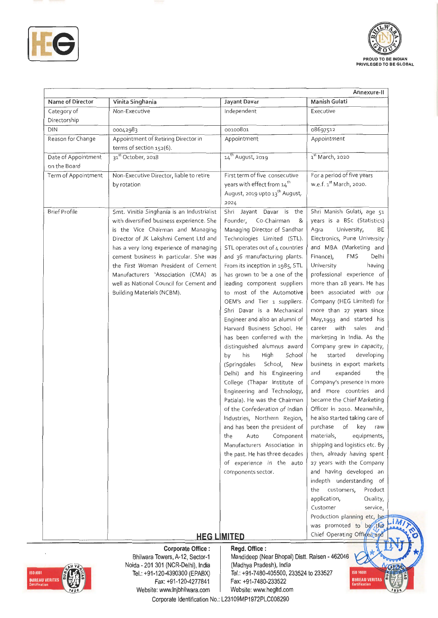



| Name of Director                    | Vinita Singhania                                                                                                                                                                                                                                                                                                                                                                                                 | Jayant Davar                                                                                                                                                                                                                                                                                                                                                                                                                                                                                                                                                                                                                                                                                                                                                                                                                                                                                                                                                       | Annexure-II<br>Manish Gulati                                                                                                                                                                                                                                                                                                                                                                                                                                                                                                                                                                                                                                                                                                                                                                                                                                                                                                                                                                                                                                                                    |
|-------------------------------------|------------------------------------------------------------------------------------------------------------------------------------------------------------------------------------------------------------------------------------------------------------------------------------------------------------------------------------------------------------------------------------------------------------------|--------------------------------------------------------------------------------------------------------------------------------------------------------------------------------------------------------------------------------------------------------------------------------------------------------------------------------------------------------------------------------------------------------------------------------------------------------------------------------------------------------------------------------------------------------------------------------------------------------------------------------------------------------------------------------------------------------------------------------------------------------------------------------------------------------------------------------------------------------------------------------------------------------------------------------------------------------------------|-------------------------------------------------------------------------------------------------------------------------------------------------------------------------------------------------------------------------------------------------------------------------------------------------------------------------------------------------------------------------------------------------------------------------------------------------------------------------------------------------------------------------------------------------------------------------------------------------------------------------------------------------------------------------------------------------------------------------------------------------------------------------------------------------------------------------------------------------------------------------------------------------------------------------------------------------------------------------------------------------------------------------------------------------------------------------------------------------|
| Category of                         | Non-Executive                                                                                                                                                                                                                                                                                                                                                                                                    | Independent                                                                                                                                                                                                                                                                                                                                                                                                                                                                                                                                                                                                                                                                                                                                                                                                                                                                                                                                                        | Executive                                                                                                                                                                                                                                                                                                                                                                                                                                                                                                                                                                                                                                                                                                                                                                                                                                                                                                                                                                                                                                                                                       |
| Directorship                        |                                                                                                                                                                                                                                                                                                                                                                                                                  |                                                                                                                                                                                                                                                                                                                                                                                                                                                                                                                                                                                                                                                                                                                                                                                                                                                                                                                                                                    |                                                                                                                                                                                                                                                                                                                                                                                                                                                                                                                                                                                                                                                                                                                                                                                                                                                                                                                                                                                                                                                                                                 |
| <b>DIN</b>                          | 00042983                                                                                                                                                                                                                                                                                                                                                                                                         | 00100801                                                                                                                                                                                                                                                                                                                                                                                                                                                                                                                                                                                                                                                                                                                                                                                                                                                                                                                                                           | 08697512                                                                                                                                                                                                                                                                                                                                                                                                                                                                                                                                                                                                                                                                                                                                                                                                                                                                                                                                                                                                                                                                                        |
| Reason for Change                   | Appointment of Retiring Director in<br>terms of section 152(6).                                                                                                                                                                                                                                                                                                                                                  | Appointment                                                                                                                                                                                                                                                                                                                                                                                                                                                                                                                                                                                                                                                                                                                                                                                                                                                                                                                                                        | Appointment                                                                                                                                                                                                                                                                                                                                                                                                                                                                                                                                                                                                                                                                                                                                                                                                                                                                                                                                                                                                                                                                                     |
| Date of Appointment<br>on the Board | 31 <sup>st</sup> October, 2018                                                                                                                                                                                                                                                                                                                                                                                   | 14 <sup>th</sup> August, 2019                                                                                                                                                                                                                                                                                                                                                                                                                                                                                                                                                                                                                                                                                                                                                                                                                                                                                                                                      | 1 <sup>st</sup> March, 2020                                                                                                                                                                                                                                                                                                                                                                                                                                                                                                                                                                                                                                                                                                                                                                                                                                                                                                                                                                                                                                                                     |
| Term of Appointment                 | Non-Executive Director, liable to retire<br>by rotation                                                                                                                                                                                                                                                                                                                                                          | First term of five consecutive<br>years with effect from 14 <sup>th</sup><br>August, 2019 upto 13 <sup>th</sup> August,<br>2024                                                                                                                                                                                                                                                                                                                                                                                                                                                                                                                                                                                                                                                                                                                                                                                                                                    | For a period of five years<br>w.e.f. 1 <sup>st</sup> March, 2020.                                                                                                                                                                                                                                                                                                                                                                                                                                                                                                                                                                                                                                                                                                                                                                                                                                                                                                                                                                                                                               |
| <b>Brief Profile</b>                | Smt. Vinitia Singhania is an Industrialist<br>with diversified business experience. She<br>is the Vice Chairman and Managing<br>Director of JK Lakshmi Cement Ltd and<br>has a very long experience of managing<br>cement business in particular. She was<br>the First Woman President of Cement<br>Manufacturers 'Association (CMA) as<br>well as National Council for Cement and<br>Building Materials (NCBM). | Shri Jayant Davar is the<br>Founder, Co-Chairman<br>8<br>Managing Director of Sandhar<br>Technologies Limited (STL).<br>STL operates out of 4 countries<br>and 36 manufacturing plants.<br>From its inception in 1985, STL<br>has grown to be a one of the<br>leading component suppliers<br>to most of the Automotive<br>OEM's and Tier 1 suppliers.<br>Shri Davar is a Mechanical<br>Engineer and also an alumni of<br>Harvard Business School. He<br>has been conferred with the<br>distinguished alumnus award<br>his<br>by<br>High<br>School<br>(Springdales<br>School, New<br>Delhi) and his Engineering<br>College (Thapar Institute of<br>Engineering and Technology,<br>Patiala). He was the Chairman<br>of the Confederation of Indian<br>Industries, Northern Region,<br>and has been the president of<br>Auto<br>Component<br>the<br>Manufacturers Association in<br>the past. He has three decades<br>of experience in the auto<br>components sector. | Shri Manish Gulati, age 51<br>years is a BSc (Statistics)<br>University,<br>Aqra<br>BE<br>Electronics, Pune University<br>and MBA (Marketing and<br>Finance),<br><b>FMS</b><br>Delhi<br>University<br>having<br>professional experience of<br>more than 28 years. He has<br>been associated with our<br>Company (HEG Limited) for<br>more than 27 years since<br>May,1993 and started his<br>career with<br>sales<br>and<br>marketing in India. As the<br>Company grew in capacity,<br>started<br>developing<br>he<br>business in export markets<br>expanded<br>and<br>the<br>Company's presence in more<br>and more countries and<br>became the Chief Marketing<br>Officer in 2010. Meanwhile,<br>he also started taking care of<br>purchase<br>of<br>key<br>raw<br>materials,<br>equipments,<br>shipping and logistics etc. By<br>then, already having spent<br>27 years with the Company<br>and having developed an<br>indepth understanding of<br>customers,<br>Product<br>the<br>application,<br>Quality,<br>Customer<br>service,<br>Production planning etc, be<br>was promoted to be the |
|                                     |                                                                                                                                                                                                                                                                                                                                                                                                                  | <b>HEG LIMITED</b>                                                                                                                                                                                                                                                                                                                                                                                                                                                                                                                                                                                                                                                                                                                                                                                                                                                                                                                                                 | Chief Operating Office and                                                                                                                                                                                                                                                                                                                                                                                                                                                                                                                                                                                                                                                                                                                                                                                                                                                                                                                                                                                                                                                                      |



Bhilwara Towers, A-12, Sector-1 Noida - 201 301 (NCR-Delhi), India Tel.: +91-120-4390300 (EPABX) Fax:+91 -120-4277841 Website: www.lnjbhilwara.com

Mandideep (Near Bhopal) Distt. Raisen - 462046 (Madhya Pradesh), India Tel.: +91-7480-405500, 233524 to 233527 Fax: +91-7480-233522

**ISO 14001** 

**BUREAU VERIT**